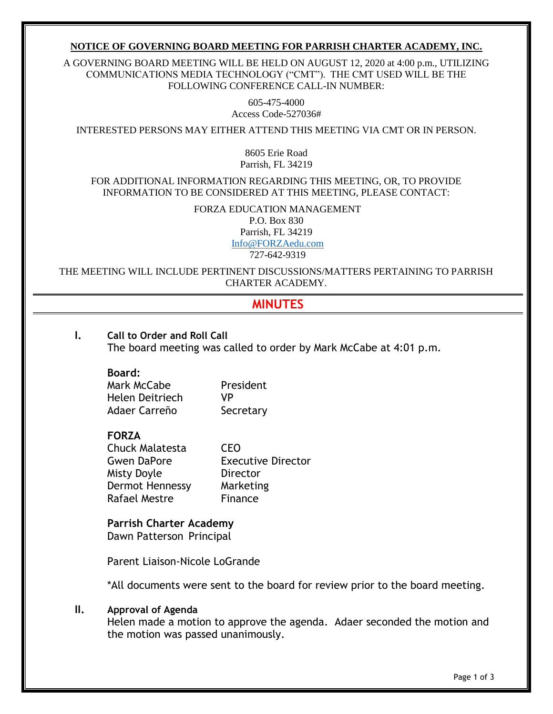#### **NOTICE OF GOVERNING BOARD MEETING FOR PARRISH CHARTER ACADEMY, INC.**

A GOVERNING BOARD MEETING WILL BE HELD ON AUGUST 12, 2020 at 4:00 p.m., UTILIZING COMMUNICATIONS MEDIA TECHNOLOGY ("CMT"). THE CMT USED WILL BE THE FOLLOWING CONFERENCE CALL-IN NUMBER:

> 605-475-4000 Access Code-527036#

INTERESTED PERSONS MAY EITHER ATTEND THIS MEETING VIA CMT OR IN PERSON.

8605 Erie Road Parrish, FL 34219

#### FOR ADDITIONAL INFORMATION REGARDING THIS MEETING, OR, TO PROVIDE INFORMATION TO BE CONSIDERED AT THIS MEETING, PLEASE CONTACT:

FORZA EDUCATION MANAGEMENT P.O. Box 830 Parrish, FL 34219

[Info@FORZAedu.com](mailto:Info@FORZAedu.com)

727-642-9319

THE MEETING WILL INCLUDE PERTINENT DISCUSSIONS/MATTERS PERTAINING TO PARRISH CHARTER ACADEMY.

# **MINUTES**

**I. Call to Order and Roll Call** The board meeting was called to order by Mark McCabe at 4:01 p.m.

**Board:** Mark McCabe President Helen Deitriech VP Adaer Carreño Secretary

**FORZA**

| Chuck Malatesta | <b>CEO</b>                |
|-----------------|---------------------------|
| Gwen DaPore     | <b>Executive Director</b> |
| Misty Doyle     | Director                  |
| Dermot Hennessy | Marketing                 |
| Rafael Mestre   | Finance                   |

**Parrish Charter Academy** Dawn Patterson Principal

Parent Liaison-Nicole LoGrande

\*All documents were sent to the board for review prior to the board meeting.

# **II. Approval of Agenda**

Helen made a motion to approve the agenda. Adaer seconded the motion and the motion was passed unanimously.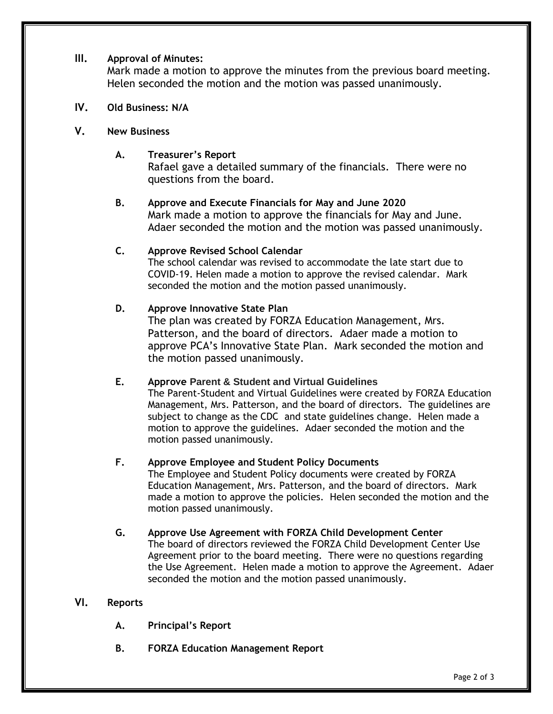# **III. Approval of Minutes:**

Mark made a motion to approve the minutes from the previous board meeting. Helen seconded the motion and the motion was passed unanimously.

## **IV. Old Business: N/A**

#### **V. New Business**

#### **A. Treasurer's Report**

Rafael gave a detailed summary of the financials. There were no questions from the board.

## **B. Approve and Execute Financials for May and June 2020** Mark made a motion to approve the financials for May and June. Adaer seconded the motion and the motion was passed unanimously.

## **C. Approve Revised School Calendar**

The school calendar was revised to accommodate the late start due to COVID-19. Helen made a motion to approve the revised calendar. Mark seconded the motion and the motion passed unanimously.

## **D. Approve Innovative State Plan**

The plan was created by FORZA Education Management, Mrs. Patterson, and the board of directors. Adaer made a motion to approve PCA's Innovative State Plan. Mark seconded the motion and the motion passed unanimously.

## **E. Approve Parent & Student and Virtual Guidelines**

The Parent-Student and Virtual Guidelines were created by FORZA Education Management, Mrs. Patterson, and the board of directors. The guidelines are subject to change as the CDC and state guidelines change. Helen made a motion to approve the guidelines. Adaer seconded the motion and the motion passed unanimously.

## **F. Approve Employee and Student Policy Documents**

The Employee and Student Policy documents were created by FORZA Education Management, Mrs. Patterson, and the board of directors. Mark made a motion to approve the policies. Helen seconded the motion and the motion passed unanimously.

## **G. Approve Use Agreement with FORZA Child Development Center**

The board of directors reviewed the FORZA Child Development Center Use Agreement prior to the board meeting. There were no questions regarding the Use Agreement. Helen made a motion to approve the Agreement. Adaer seconded the motion and the motion passed unanimously.

## **VI. Reports**

- **A. Principal's Report**
- **B. FORZA Education Management Report**